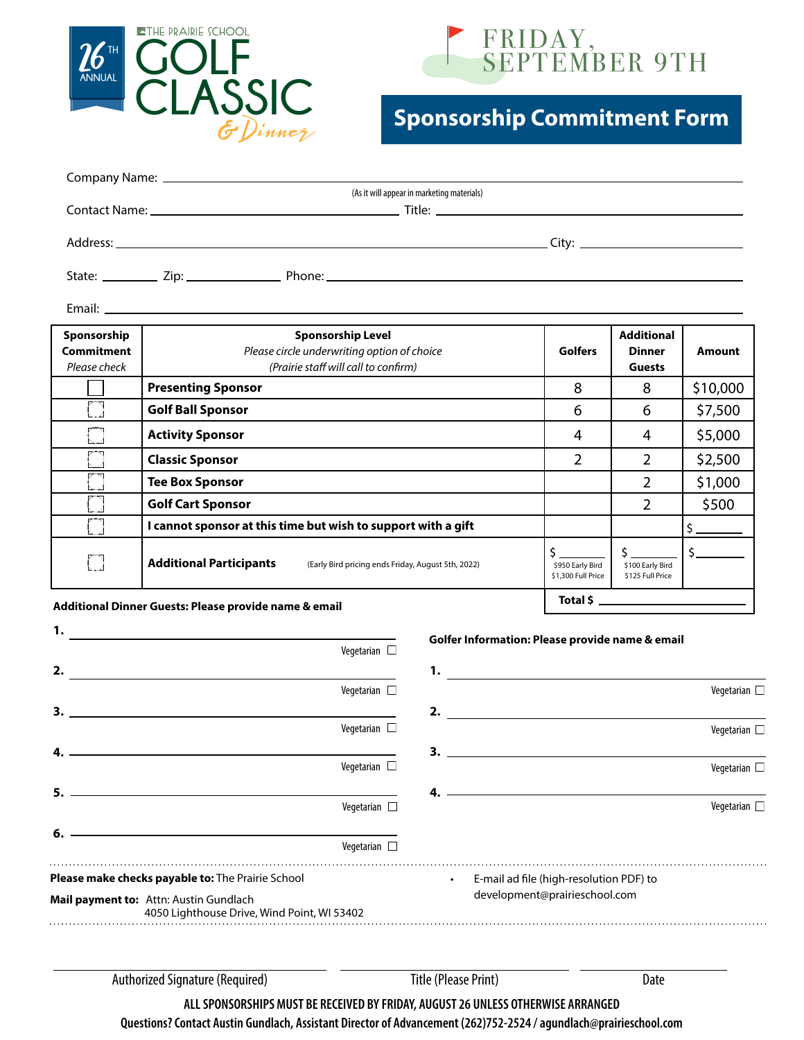



## **Sponsorship Commitment Form**

| Company Name: Name and Second Company Name and Second Company Name and Second Company of the Company of the Co |  |  |  |  |  |  |
|----------------------------------------------------------------------------------------------------------------|--|--|--|--|--|--|
| (As it will appear in marketing materials)                                                                     |  |  |  |  |  |  |
|                                                                                                                |  |  |  |  |  |  |
|                                                                                                                |  |  |  |  |  |  |
|                                                                                                                |  |  |  |  |  |  |
|                                                                                                                |  |  |  |  |  |  |
|                                                                                                                |  |  |  |  |  |  |
|                                                                                                                |  |  |  |  |  |  |
|                                                                                                                |  |  |  |  |  |  |

Email:

**1.**

| Sponsorship<br><b>Commitment</b><br>Please check       | <b>Sponsorship Level</b><br>Please circle underwriting option of choice<br>(Prairie staff will call to confirm) | <b>Golfers</b>                         | <b>Additional</b><br><b>Dinner</b><br><b>Guests</b> | Amount   |  |
|--------------------------------------------------------|-----------------------------------------------------------------------------------------------------------------|----------------------------------------|-----------------------------------------------------|----------|--|
|                                                        | <b>Presenting Sponsor</b>                                                                                       | 8                                      | 8                                                   | \$10,000 |  |
|                                                        | <b>Golf Ball Sponsor</b>                                                                                        | 6                                      | 6                                                   | \$7,500  |  |
|                                                        | <b>Activity Sponsor</b>                                                                                         | 4                                      | 4                                                   | \$5,000  |  |
|                                                        | <b>Classic Sponsor</b>                                                                                          | 2                                      | 2                                                   | \$2,500  |  |
|                                                        | <b>Tee Box Sponsor</b>                                                                                          |                                        | 2                                                   | \$1,000  |  |
|                                                        | <b>Golf Cart Sponsor</b>                                                                                        |                                        | 2                                                   | \$500    |  |
|                                                        | I cannot sponsor at this time but wish to support with a gift                                                   |                                        |                                                     |          |  |
|                                                        | <b>Additional Participants</b><br>(Early Bird pricing ends Friday, August 5th, 2022)                            | \$950 Early Bird<br>\$1,300 Full Price | \$100 Early Bird<br>\$125 Full Price                |          |  |
| Additional Dinner Guests: Please provide name 8, email |                                                                                                                 |                                        | Total \$                                            |          |  |

## **Additional Dinner Guests: Please provide name & email**

| ι.                                                                                    |                                                   |                             | Golfer Information: Please provide name & email |                      |
|---------------------------------------------------------------------------------------|---------------------------------------------------|-----------------------------|-------------------------------------------------|----------------------|
|                                                                                       | Vegetarian $\square$                              |                             |                                                 |                      |
| 2.                                                                                    |                                                   | 1.                          |                                                 |                      |
|                                                                                       | Vegetarian $\square$                              |                             |                                                 | Vegetarian $\square$ |
| 3.                                                                                    |                                                   | 2.                          |                                                 |                      |
|                                                                                       | Vegetarian $\square$                              |                             |                                                 | Vegetarian $\square$ |
|                                                                                       |                                                   |                             |                                                 |                      |
|                                                                                       | Vegetarian $\square$                              |                             |                                                 | Vegetarian $\Box$    |
|                                                                                       |                                                   |                             |                                                 |                      |
|                                                                                       | Vegetarian $\square$                              |                             |                                                 | Vegetarian $\Box$    |
| 6.                                                                                    |                                                   |                             |                                                 |                      |
|                                                                                       | Vegetarian $\square$                              |                             |                                                 |                      |
|                                                                                       | Please make checks payable to: The Prairie School | $\bullet$                   | E-mail ad file (high-resolution PDF) to         |                      |
| Mail payment to: Attn: Austin Gundlach<br>4050 Lighthouse Drive, Wind Point, WI 53402 |                                                   |                             | development@prairieschool.com                   |                      |
|                                                                                       |                                                   |                             |                                                 |                      |
|                                                                                       | <b>Authorized Signature (Required)</b>            | <b>Title (Please Print)</b> | Date                                            |                      |

**ALL SPONSORSHIPS MUST BE RECEIVED BY FRIDAY, AUGUST 26 UNLESS OTHERWISE ARRANGED**

**Questions? Contact Austin Gundlach, Assistant Director of Advancement (262)752-2524 / agundlach@prairieschool.com**